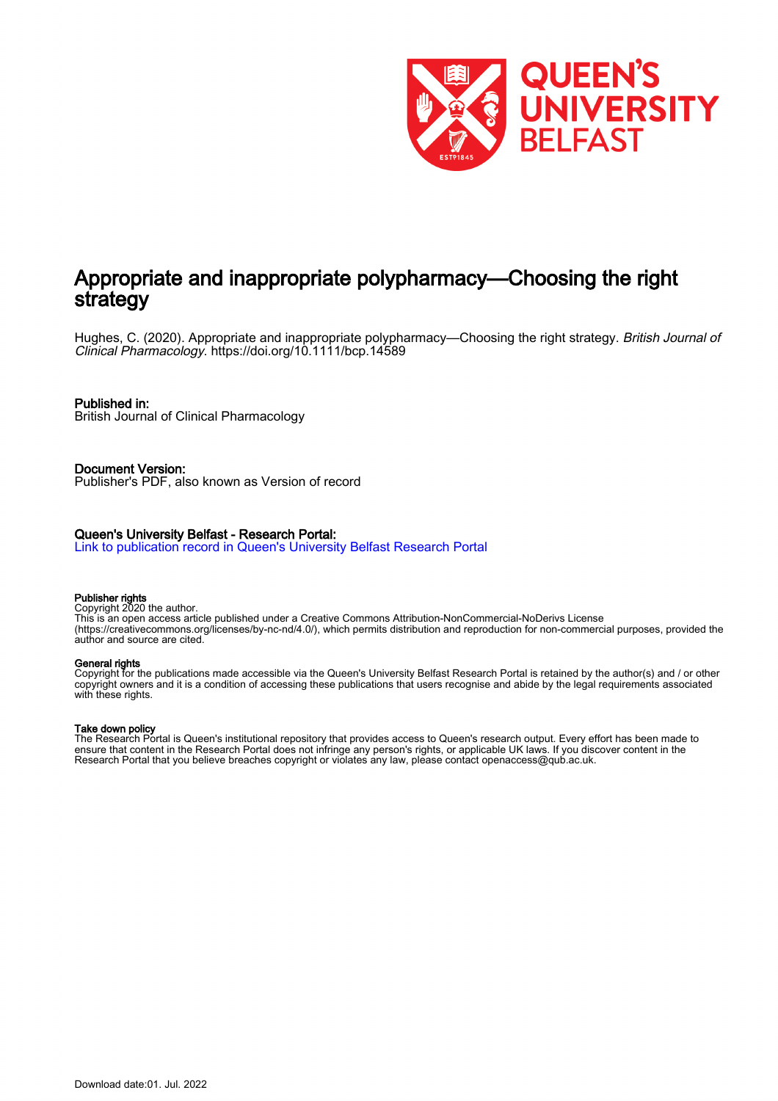

# Appropriate and inappropriate polypharmacy—Choosing the right strategy

Hughes, C. (2020). Appropriate and inappropriate polypharmacy—Choosing the right strategy. British Journal of Clinical Pharmacology.<https://doi.org/10.1111/bcp.14589>

# Published in:

British Journal of Clinical Pharmacology

Document Version: Publisher's PDF, also known as Version of record

# Queen's University Belfast - Research Portal:

[Link to publication record in Queen's University Belfast Research Portal](https://pure.qub.ac.uk/en/publications/9a790414-3f6a-48a8-ac44-14ecb27887cf)

# Publisher rights

Copyright 2020 the author.

This is an open access article published under a Creative Commons Attribution-NonCommercial-NoDerivs License (https://creativecommons.org/licenses/by-nc-nd/4.0/), which permits distribution and reproduction for non-commercial purposes, provided the author and source are cited.

# General rights

Copyright for the publications made accessible via the Queen's University Belfast Research Portal is retained by the author(s) and / or other copyright owners and it is a condition of accessing these publications that users recognise and abide by the legal requirements associated with these rights.

# Take down policy

The Research Portal is Queen's institutional repository that provides access to Queen's research output. Every effort has been made to ensure that content in the Research Portal does not infringe any person's rights, or applicable UK laws. If you discover content in the Research Portal that you believe breaches copyright or violates any law, please contact openaccess@qub.ac.uk.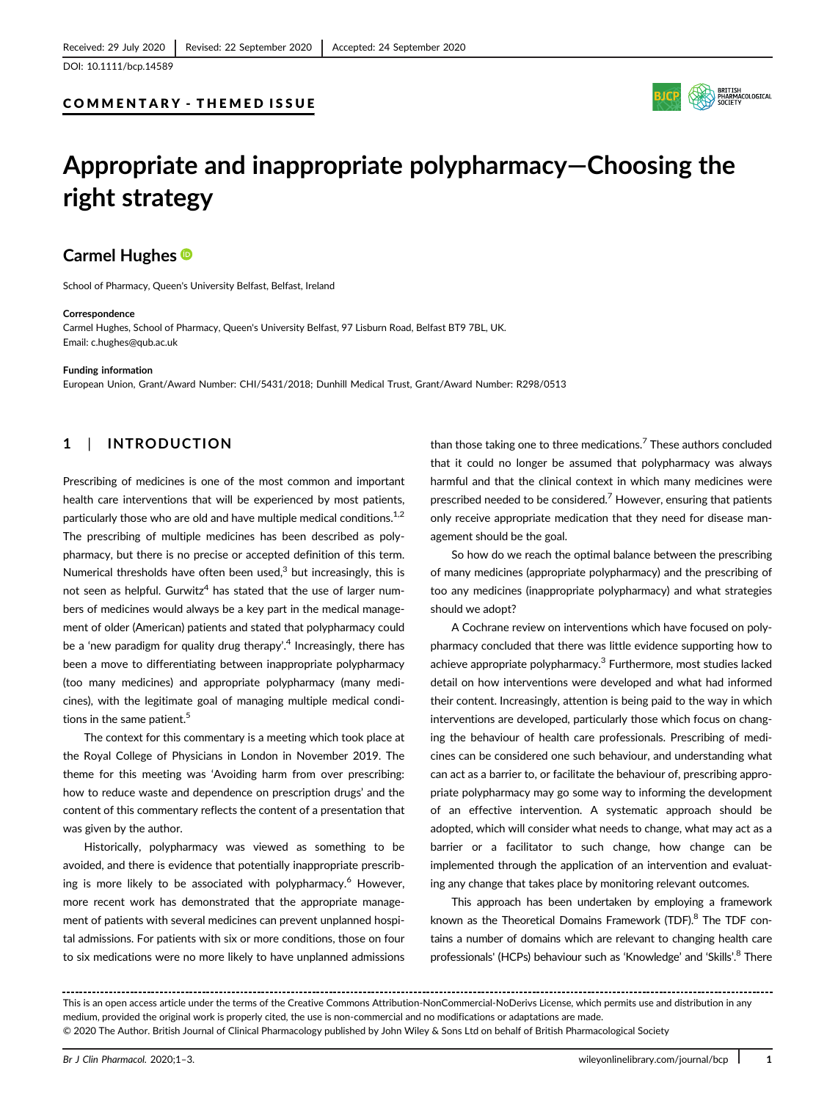DOI: 10.1111/bcp.14589

# COMMENTARY - THEMED ISSUE



# Appropriate and inappropriate polypharmacy—Choosing the right strategy

# Carmel Hughes<sup>®</sup>

School of Pharmacy, Queen's University Belfast, Belfast, Ireland

#### **Correspondence**

Carmel Hughes, School of Pharmacy, Queen's University Belfast, 97 Lisburn Road, Belfast BT9 7BL, UK. Email: [c.hughes@qub.ac.uk](mailto:c.hughes@qub.ac.uk)

#### Funding information

European Union, Grant/Award Number: CHI/5431/2018; Dunhill Medical Trust, Grant/Award Number: R298/0513

# 1 | INTRODUCTION

Prescribing of medicines is one of the most common and important health care interventions that will be experienced by most patients, particularly those who are old and have multiple medical conditions.<sup>1,2</sup> The prescribing of multiple medicines has been described as polypharmacy, but there is no precise or accepted definition of this term. Numerical thresholds have often been used, $3$  but increasingly, this is not seen as helpful. Gurwitz<sup>4</sup> has stated that the use of larger numbers of medicines would always be a key part in the medical management of older (American) patients and stated that polypharmacy could be a 'new paradigm for quality drug therapy'. <sup>4</sup> Increasingly, there has been a move to differentiating between inappropriate polypharmacy (too many medicines) and appropriate polypharmacy (many medicines), with the legitimate goal of managing multiple medical conditions in the same patient.<sup>5</sup>

The context for this commentary is a meeting which took place at the Royal College of Physicians in London in November 2019. The theme for this meeting was 'Avoiding harm from over prescribing: how to reduce waste and dependence on prescription drugs' and the content of this commentary reflects the content of a presentation that was given by the author.

Historically, polypharmacy was viewed as something to be avoided, and there is evidence that potentially inappropriate prescribing is more likely to be associated with polypharmacy.<sup>6</sup> However, more recent work has demonstrated that the appropriate management of patients with several medicines can prevent unplanned hospital admissions. For patients with six or more conditions, those on four to six medications were no more likely to have unplanned admissions than those taking one to three medications.<sup>7</sup> These authors concluded that it could no longer be assumed that polypharmacy was always harmful and that the clinical context in which many medicines were prescribed needed to be considered.<sup>7</sup> However, ensuring that patients only receive appropriate medication that they need for disease management should be the goal.

So how do we reach the optimal balance between the prescribing of many medicines (appropriate polypharmacy) and the prescribing of too any medicines (inappropriate polypharmacy) and what strategies should we adopt?

A Cochrane review on interventions which have focused on polypharmacy concluded that there was little evidence supporting how to achieve appropriate polypharmacy.<sup>3</sup> Furthermore, most studies lacked detail on how interventions were developed and what had informed their content. Increasingly, attention is being paid to the way in which interventions are developed, particularly those which focus on changing the behaviour of health care professionals. Prescribing of medicines can be considered one such behaviour, and understanding what can act as a barrier to, or facilitate the behaviour of, prescribing appropriate polypharmacy may go some way to informing the development of an effective intervention. A systematic approach should be adopted, which will consider what needs to change, what may act as a barrier or a facilitator to such change, how change can be implemented through the application of an intervention and evaluating any change that takes place by monitoring relevant outcomes.

This approach has been undertaken by employing a framework known as the Theoretical Domains Framework (TDF).<sup>8</sup> The TDF contains a number of domains which are relevant to changing health care professionals' (HCPs) behaviour such as 'Knowledge' and 'Skills'.<sup>8</sup> There

This is an open access article under the terms of the [Creative Commons Attribution](http://creativecommons.org/licenses/by-nc-nd/4.0/)‐NonCommercial‐NoDerivs License, which permits use and distribution in any medium, provided the original work is properly cited, the use is non‐commercial and no modifications or adaptations are made. © 2020 The Author. British Journal of Clinical Pharmacology published by John Wiley & Sons Ltd on behalf of British Pharmacological Society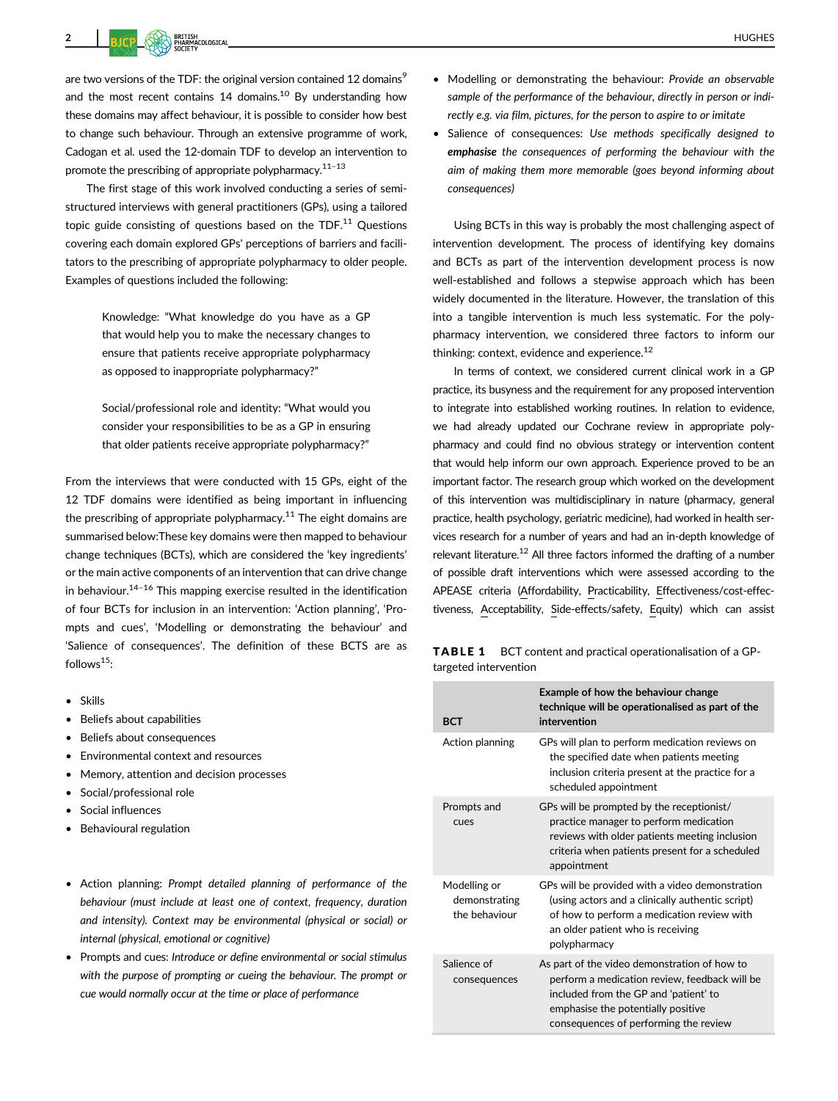2 | RICH KOOK NEEDS AND DE CONTROLLER IN THE CONTROL OF THE CONTROL OF THE CONTROL OF THE CONTROL OF THE CONTROL OF THE CONTROL OF THE CONTROL OF THE CONTROL OF THE CONTROL OF THE CONTROL OF THE CONTROL OF THE CONTROL OF

are two versions of the TDF: the original version contained 12 domains<sup>9</sup> and the most recent contains  $14$  domains.<sup>10</sup> By understanding how these domains may affect behaviour, it is possible to consider how best to change such behaviour. Through an extensive programme of work, Cadogan et al. used the 12-domain TDF to develop an intervention to promote the prescribing of appropriate polypharmacy.<sup>11-13</sup>

The first stage of this work involved conducting a series of semistructured interviews with general practitioners (GPs), using a tailored topic guide consisting of questions based on the TDF. $11$  Questions covering each domain explored GPs' perceptions of barriers and facilitators to the prescribing of appropriate polypharmacy to older people. Examples of questions included the following:

> Knowledge: "What knowledge do you have as a GP that would help you to make the necessary changes to ensure that patients receive appropriate polypharmacy as opposed to inappropriate polypharmacy?"

> Social/professional role and identity: "What would you consider your responsibilities to be as a GP in ensuring that older patients receive appropriate polypharmacy?"

From the interviews that were conducted with 15 GPs, eight of the 12 TDF domains were identified as being important in influencing the prescribing of appropriate polypharmacy.<sup>11</sup> The eight domains are summarised below:These key domains were then mapped to behaviour change techniques (BCTs), which are considered the 'key ingredients' or the main active components of an intervention that can drive change in behaviour. $14-16$  This mapping exercise resulted in the identification of four BCTs for inclusion in an intervention: 'Action planning', 'Prompts and cues', 'Modelling or demonstrating the behaviour' and 'Salience of consequences'. The definition of these BCTS are as follows $15$ :

- Skills
- Beliefs about capabilities
- Beliefs about consequences
- Environmental context and resources
- Memory, attention and decision processes
- Social/professional role
- Social influences
- Behavioural regulation
- Action planning: Prompt detailed planning of performance of the behaviour (must include at least one of context, frequency, duration and intensity). Context may be environmental (physical or social) or internal (physical, emotional or cognitive)
- Prompts and cues: Introduce or define environmental or social stimulus with the purpose of prompting or cueing the behaviour. The prompt or cue would normally occur at the time or place of performance
- Modelling or demonstrating the behaviour: Provide an observable sample of the performance of the behaviour, directly in person or indirectly e.g. via film, pictures, for the person to aspire to or imitate
- Salience of consequences: Use methods specifically designed to emphasise the consequences of performing the behaviour with the aim of making them more memorable (goes beyond informing about consequences)

Using BCTs in this way is probably the most challenging aspect of intervention development. The process of identifying key domains and BCTs as part of the intervention development process is now well-established and follows a stepwise approach which has been widely documented in the literature. However, the translation of this into a tangible intervention is much less systematic. For the polypharmacy intervention, we considered three factors to inform our thinking: context, evidence and experience.<sup>12</sup>

In terms of context, we considered current clinical work in a GP practice, its busyness and the requirement for any proposed intervention to integrate into established working routines. In relation to evidence, we had already updated our Cochrane review in appropriate polypharmacy and could find no obvious strategy or intervention content that would help inform our own approach. Experience proved to be an important factor. The research group which worked on the development of this intervention was multidisciplinary in nature (pharmacy, general practice, health psychology, geriatric medicine), had worked in health services research for a number of years and had an in-depth knowledge of relevant literature.<sup>12</sup> All three factors informed the drafting of a number of possible draft interventions which were assessed according to the APEASE criteria (Affordability, Practicability, Effectiveness/cost-effectiveness, Acceptability, Side-effects/safety, Equity) which can assist

**TABLE 1** BCT content and practical operationalisation of a GPtargeted intervention

| <b>BCT</b>                                     | Example of how the behaviour change<br>technique will be operationalised as part of the<br>intervention                                                                                                               |
|------------------------------------------------|-----------------------------------------------------------------------------------------------------------------------------------------------------------------------------------------------------------------------|
| Action planning                                | GPs will plan to perform medication reviews on<br>the specified date when patients meeting<br>inclusion criteria present at the practice for a<br>scheduled appointment                                               |
| Prompts and<br>cues                            | GPs will be prompted by the receptionist/<br>practice manager to perform medication<br>reviews with older patients meeting inclusion<br>criteria when patients present for a scheduled<br>appointment                 |
| Modelling or<br>demonstrating<br>the behaviour | GPs will be provided with a video demonstration<br>(using actors and a clinically authentic script)<br>of how to perform a medication review with<br>an older patient who is receiving<br>polypharmacy                |
| Salience of<br>consequences                    | As part of the video demonstration of how to<br>perform a medication review, feedback will be<br>included from the GP and 'patient' to<br>emphasise the potentially positive<br>consequences of performing the review |